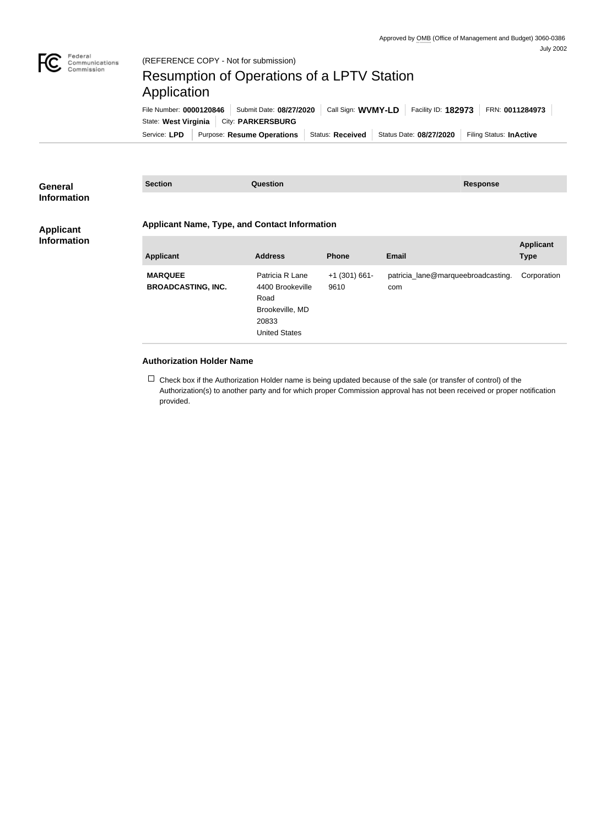

## (REFERENCE COPY - Not for submission)

## Resumption of Operations of a LPTV Station Application

Service: LPD | Purpose: Resume Operations | Status: Received | Status Date: 08/27/2020 | Filing Status: InActive State: West Virginia | City: PARKERSBURG File Number: **0000120846** Submit Date: **08/27/2020** Call Sign: **WVMY-LD** Facility ID: **182973** FRN: **0011284973**

| <b>General</b><br><b>Information</b>   | <b>Section</b>                                       | <b>Question</b>                                                                                 |                         | <b>Response</b>                           |                                 |  |
|----------------------------------------|------------------------------------------------------|-------------------------------------------------------------------------------------------------|-------------------------|-------------------------------------------|---------------------------------|--|
| <b>Applicant</b><br><b>Information</b> | <b>Applicant Name, Type, and Contact Information</b> |                                                                                                 |                         |                                           |                                 |  |
|                                        | <b>Applicant</b>                                     | <b>Address</b>                                                                                  | <b>Phone</b>            | <b>Email</b>                              | <b>Applicant</b><br><b>Type</b> |  |
|                                        | <b>MARQUEE</b><br><b>BROADCASTING, INC.</b>          | Patricia R Lane<br>4400 Brookeville<br>Road<br>Brookeville, MD<br>20833<br><b>United States</b> | $+1$ (301) 661-<br>9610 | patricia_lane@marqueebroadcasting.<br>com | Corporation                     |  |

## **Authorization Holder Name**

 $\Box$  Check box if the Authorization Holder name is being updated because of the sale (or transfer of control) of the Authorization(s) to another party and for which proper Commission approval has not been received or proper notification provided.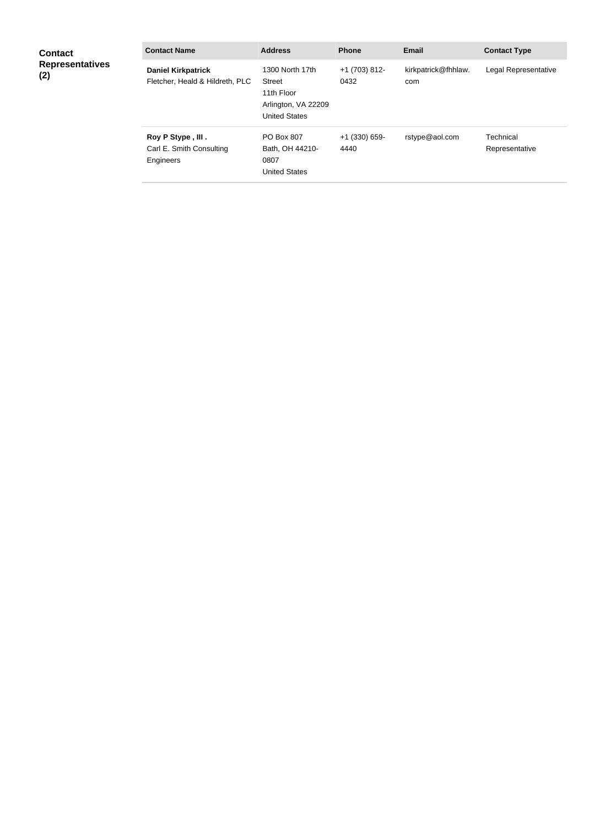| <b>Contact</b><br><b>Representatives</b><br>(2) | <b>Contact Name</b>                                          | <b>Address</b>                                                                         | <b>Phone</b>            | <b>Email</b>               | <b>Contact Type</b>         |
|-------------------------------------------------|--------------------------------------------------------------|----------------------------------------------------------------------------------------|-------------------------|----------------------------|-----------------------------|
|                                                 | <b>Daniel Kirkpatrick</b><br>Fletcher, Heald & Hildreth, PLC | 1300 North 17th<br>Street<br>11th Floor<br>Arlington, VA 22209<br><b>United States</b> | +1 (703) 812-<br>0432   | kirkpatrick@fhhlaw.<br>com | Legal Representative        |
|                                                 | Roy P Stype, III.<br>Carl E. Smith Consulting<br>Engineers   | <b>PO Box 807</b><br>Bath, OH 44210-<br>0807<br><b>United States</b>                   | $+1$ (330) 659-<br>4440 | rstype@aol.com             | Technical<br>Representative |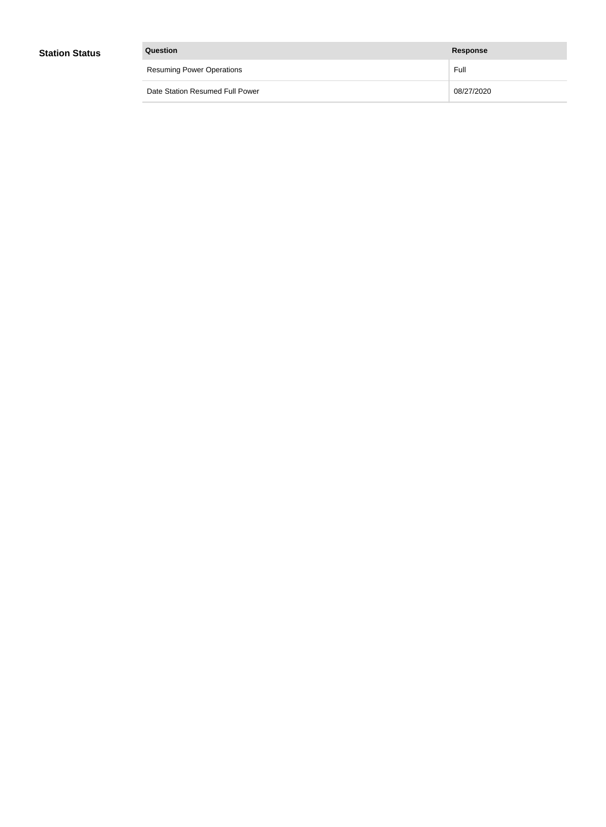| Question                         | <b>Response</b> |
|----------------------------------|-----------------|
| <b>Resuming Power Operations</b> | Full            |
| Date Station Resumed Full Power  | 08/27/2020      |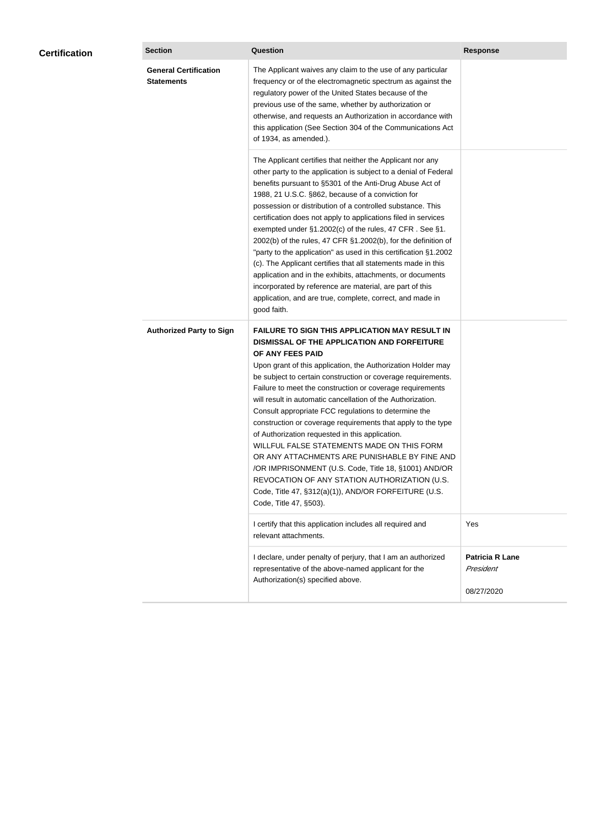| <b>Certification</b> | <b>Section</b>                                    | <b>Question</b>                                                                                                                                                                                                                                                                                                                                                                                                                                                                                                                                                                                                                                                                                                                                                                                                                                           | <b>Response</b>                                   |
|----------------------|---------------------------------------------------|-----------------------------------------------------------------------------------------------------------------------------------------------------------------------------------------------------------------------------------------------------------------------------------------------------------------------------------------------------------------------------------------------------------------------------------------------------------------------------------------------------------------------------------------------------------------------------------------------------------------------------------------------------------------------------------------------------------------------------------------------------------------------------------------------------------------------------------------------------------|---------------------------------------------------|
|                      | <b>General Certification</b><br><b>Statements</b> | The Applicant waives any claim to the use of any particular<br>frequency or of the electromagnetic spectrum as against the<br>regulatory power of the United States because of the<br>previous use of the same, whether by authorization or<br>otherwise, and requests an Authorization in accordance with<br>this application (See Section 304 of the Communications Act<br>of 1934, as amended.).                                                                                                                                                                                                                                                                                                                                                                                                                                                       |                                                   |
|                      |                                                   | The Applicant certifies that neither the Applicant nor any<br>other party to the application is subject to a denial of Federal<br>benefits pursuant to §5301 of the Anti-Drug Abuse Act of<br>1988, 21 U.S.C. §862, because of a conviction for<br>possession or distribution of a controlled substance. This<br>certification does not apply to applications filed in services<br>exempted under §1.2002(c) of the rules, 47 CFR. See §1.<br>2002(b) of the rules, 47 CFR §1.2002(b), for the definition of<br>"party to the application" as used in this certification §1.2002<br>(c). The Applicant certifies that all statements made in this<br>application and in the exhibits, attachments, or documents<br>incorporated by reference are material, are part of this<br>application, and are true, complete, correct, and made in<br>good faith.   |                                                   |
|                      | <b>Authorized Party to Sign</b>                   | <b>FAILURE TO SIGN THIS APPLICATION MAY RESULT IN</b><br>DISMISSAL OF THE APPLICATION AND FORFEITURE<br>OF ANY FEES PAID<br>Upon grant of this application, the Authorization Holder may<br>be subject to certain construction or coverage requirements.<br>Failure to meet the construction or coverage requirements<br>will result in automatic cancellation of the Authorization.<br>Consult appropriate FCC regulations to determine the<br>construction or coverage requirements that apply to the type<br>of Authorization requested in this application.<br>WILLFUL FALSE STATEMENTS MADE ON THIS FORM<br>OR ANY ATTACHMENTS ARE PUNISHABLE BY FINE AND<br>/OR IMPRISONMENT (U.S. Code, Title 18, §1001) AND/OR<br>REVOCATION OF ANY STATION AUTHORIZATION (U.S.<br>Code, Title 47, §312(a)(1)), AND/OR FORFEITURE (U.S.<br>Code, Title 47, §503). |                                                   |
|                      |                                                   | I certify that this application includes all required and<br>relevant attachments.                                                                                                                                                                                                                                                                                                                                                                                                                                                                                                                                                                                                                                                                                                                                                                        | Yes                                               |
|                      |                                                   | I declare, under penalty of perjury, that I am an authorized<br>representative of the above-named applicant for the<br>Authorization(s) specified above.                                                                                                                                                                                                                                                                                                                                                                                                                                                                                                                                                                                                                                                                                                  | <b>Patricia R Lane</b><br>President<br>08/27/2020 |